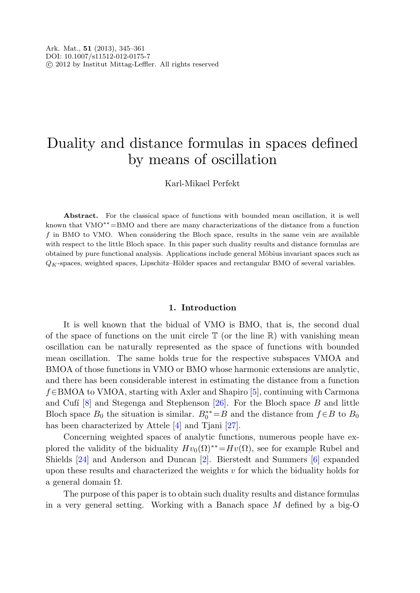# Duality and distance formulas in spaces defined by means of oscillation

Karl-Mikael Perfekt

**Abstract.** For the classical space of functions with bounded mean oscillation, it is well known that VMO∗∗=BMO and there are many characterizations of the distance from a function f in BMO to VMO. When considering the Bloch space, results in the same vein are available with respect to the little Bloch space. In this paper such duality results and distance formulas are obtained by pure functional analysis. Applications include general Möbius invariant spaces such as  $Q_K$ -spaces, weighted spaces, Lipschitz–Hölder spaces and rectangular BMO of several variables.

### **1. Introduction**

It is well known that the bidual of VMO is BMO, that is, the second dual of the space of functions on the unit circle  $\mathbb T$  (or the line  $\mathbb R$ ) with vanishing mean oscillation can be naturally represented as the space of functions with bounded mean oscillation. The same holds true for the respective subspaces VMOA and BMOA of those functions in VMO or BMO whose harmonic extensions are analytic, and there has been considerable interest in estimating the distance from a function f∈BMOA to VMOA, starting with Axler and Shapiro [[5\]](#page-15-0), continuing with Carmona and Cufí<sup>[\[8](#page-15-1)]</sup> and Stegenga and Stephenson  $[26]$  $[26]$ . For the Bloch space B and little Bloch space  $B_0$  the situation is similar.  $B_0^{**} = B$  and the distance from  $f \in B$  to  $B_0$ has been characterized by Attele [[4\]](#page-15-2) and Tjani [[27\]](#page-16-1).

Concerning weighted spaces of analytic functions, numerous people have explored the validity of the biduality  $Hv_0(\Omega)^{**}=Hv(\Omega)$ , see for example Rubel and Shields [[24\]](#page-16-2) and Anderson and Duncan [\[2](#page-15-3)]. Bierstedt and Summers [\[6](#page-15-4)] expanded upon these results and characterized the weights  $v$  for which the biduality holds for a general domain Ω.

The purpose of this paper is to obtain such duality results and distance formulas in a very general setting. Working with a Banach space M defined by a big-O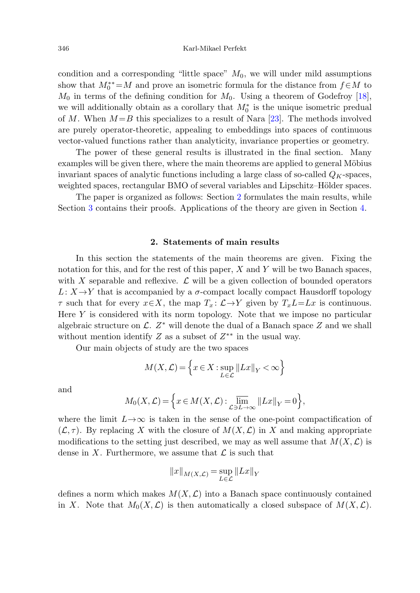condition and a corresponding "little space"  $M_0$ , we will under mild assumptions show that  $M_0^{**} = M$  and prove an isometric formula for the distance from  $f \in M$  to  $M_0$  in terms of the defining condition for  $M_0$ . Using a theorem of Godefroy [\[18](#page-15-5)], we will additionally obtain as a corollary that  $M_0^*$  is the unique isometric predual of M. When  $M = B$  this specializes to a result of Nara [\[23](#page-16-3)]. The methods involved are purely operator-theoretic, appealing to embeddings into spaces of continuous vector-valued functions rather than analyticity, invariance properties or geometry.

<span id="page-1-0"></span>The power of these general results is illustrated in the final section. Many examples will be given there, where the main theorems are applied to general Möbius invariant spaces of analytic functions including a large class of so-called  $Q_K$ -spaces, weighted spaces, rectangular BMO of several variables and Lipschitz–Hölder spaces.

The paper is organized as follows: Section [2](#page-1-0) formulates the main results, while Section [3](#page-3-0) contains their proofs. Applications of the theory are given in Section [4](#page-8-0).

#### **2. Statements of main results**

In this section the statements of the main theorems are given. Fixing the notation for this, and for the rest of this paper,  $X$  and  $Y$  will be two Banach spaces, with X separable and reflexive.  $\mathcal L$  will be a given collection of bounded operators  $L: X \rightarrow Y$  that is accompanied by a  $\sigma$ -compact locally compact Hausdorff topology  $\tau$  such that for every  $x \in X$ , the map  $T_x : \mathcal{L} \to Y$  given by  $T_x L = Lx$  is continuous. Here  $Y$  is considered with its norm topology. Note that we impose no particular algebraic structure on  $\mathcal{L}$ .  $Z^*$  will denote the dual of a Banach space Z and we shall without mention identify Z as a subset of  $Z^{**}$  in the usual way.

Our main objects of study are the two spaces

$$
M(X, \mathcal{L}) = \left\{ x \in X : \sup_{L \in \mathcal{L}} ||Lx||_Y < \infty \right\}
$$

and

$$
M_0(X, \mathcal{L}) = \left\{ x \in M(X, \mathcal{L}) : \overline{\lim}_{\mathcal{L} \ni L \to \infty} ||Lx||_Y = 0 \right\},\
$$

where the limit  $L\rightarrow\infty$  is taken in the sense of the one-point compactification of  $(\mathcal{L}, \tau)$ . By replacing X with the closure of  $M(X, \mathcal{L})$  in X and making appropriate modifications to the setting just described, we may as well assume that  $M(X, \mathcal{L})$  is dense in X. Furthermore, we assume that  $\mathcal L$  is such that

$$
||x||_{M(X,\mathcal{L})} = \sup_{L \in \mathcal{L}} ||Lx||_Y
$$

defines a norm which makes  $M(X, \mathcal{L})$  into a Banach space continuously contained in X. Note that  $M_0(X, \mathcal{L})$  is then automatically a closed subspace of  $M(X, \mathcal{L})$ .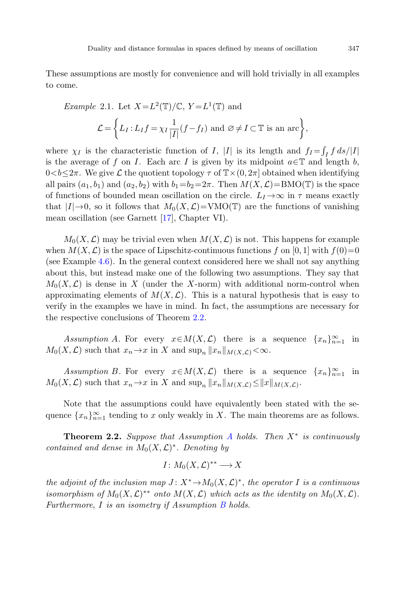<span id="page-2-3"></span>These assumptions are mostly for convenience and will hold trivially in all examples to come.

*Example 2.1.* Let 
$$
X = L^2(\mathbb{T})/\mathbb{C}
$$
,  $Y = L^1(\mathbb{T})$  and  

$$
\mathcal{L} = \left\{ L_I : L_I f = \chi_I \frac{1}{|I|} (f - f_I) \text{ and } \varnothing \neq I \subset \mathbb{T} \text{ is an arc} \right\},
$$

where  $\chi_I$  is the characteristic function of I, |I| is its length and  $f_I = \int_I f \, ds / |I|$ is the average of f on I. Each arc I is given by its midpoint  $a \in \mathbb{T}$  and length b,  $0 < b \leq 2\pi$ . We give L the quotient topology  $\tau$  of  $\mathbb{T} \times (0, 2\pi]$  obtained when identifying all pairs  $(a_1, b_1)$  and  $(a_2, b_2)$  with  $b_1=b_2=2\pi$ . Then  $M(X, \mathcal{L})=\text{BMO}(\mathbb{T})$  is the space of functions of bounded mean oscillation on the circle.  $L_I\rightarrow\infty$  in  $\tau$  means exactly that  $|I|\rightarrow 0$ , so it follows that  $M_0(X,\mathcal{L})=VMO(\mathbb{T})$  are the functions of vanishing mean oscillation (see Garnett [[17\]](#page-15-6), Chapter VI).

<span id="page-2-1"></span> $M_0(X, \mathcal{L})$  may be trivial even when  $M(X, \mathcal{L})$  is not. This happens for example when  $M(X, \mathcal{L})$  is the space of Lipschitz-continuous functions f on [0, 1] with  $f(0)=0$ (see Example [4.6\)](#page-13-0). In the general context considered here we shall not say anything about this, but instead make one of the following two assumptions. They say that  $M_0(X,\mathcal{L})$  is dense in X (under the X-norm) with additional norm-control when approximating elements of  $M(X, \mathcal{L})$ . This is a natural hypothesis that is easy to verify in the examples we have in mind. In fact, the assumptions are necessary for the respective conclusions of Theorem [2.2](#page-2-0).

<span id="page-2-2"></span>Assumption A. For every  $x \in M(X, \mathcal{L})$  there is a sequence  $\{x_n\}_{n=1}^{\infty}$  in  $M_0(X, \mathcal{L})$  such that  $x_n \to x$  in X and  $\sup_n ||x_n||_{M(X, \mathcal{L})} < \infty$ .

<span id="page-2-0"></span>Assumption B. For every  $x \in M(X, \mathcal{L})$  there is a sequence  $\{x_n\}_{n=1}^{\infty}$  in  $M_0(X, \mathcal{L})$  such that  $x_n \to x$  in X and  $\sup_n ||x_n||_{M(X, \mathcal{L})} \le ||x||_{M(X, \mathcal{L})}$ .

Note that the assumptions could have equivalently been stated with the sequence  ${x_n}_{n=1}^{\infty}$  tending to x only weakly in X. The main theorems are as follows.

**Theorem 2.2.** Suppose that [A](#page-2-1)ssumption A holds. Then  $X^*$  is continuously contained and dense in  $M_0(X, \mathcal{L})^*$ . Denoting by

$$
I\colon M_0(X,\mathcal{L})^{**}\longrightarrow X
$$

the adjoint of the inclusion map  $J: X^* \to M_0(X, \mathcal{L})^*$ , the operator I is a continuous isomorphism of  $M_0(X, \mathcal{L})^{**}$  onto  $M(X, \mathcal{L})$  which acts as the identity on  $M_0(X, \mathcal{L})$ . Furthermore,  $I$  is an isometry if Assumption  $B$  holds.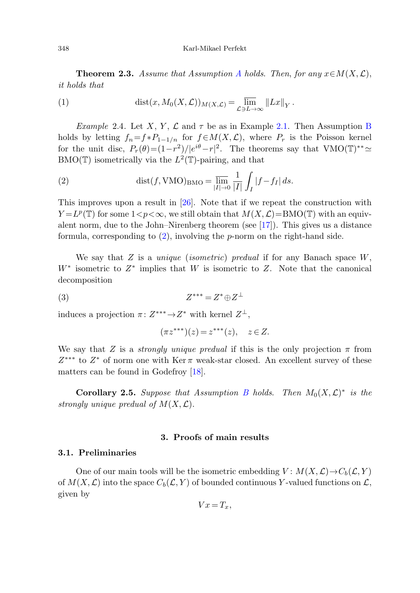<span id="page-3-5"></span><span id="page-3-2"></span>**Theorem 2.3.** [A](#page-2-1)ssume that Assumption A holds. Then, for any  $x \in M(X, \mathcal{L})$ , it holds that

<span id="page-3-1"></span>(1) 
$$
\operatorname{dist}(x, M_0(X, \mathcal{L}))_{M(X, \mathcal{L})} = \lim_{\mathcal{L} \ni L \to \infty} ||Lx||_Y.
$$

Example 2.4. Let X, Y,  $\mathcal L$  and  $\tau$  be as in Example [2.1](#page-2-3). Then Assumption [B](#page-2-2) holds by letting  $f_n = f * P_{1-1/n}$  for  $f \in M(X, \mathcal{L})$ , where  $P_r$  is the Poisson kernel for the unit disc,  $P_r(\theta) = (1 - r^2)/|e^{i\theta} - r|^2$ . The theorems say that VMO(T)<sup>\*\*</sup>  $BMO(\mathbb{T})$  isometrically via the  $L^2(\mathbb{T})$ -pairing, and that

(2) 
$$
\operatorname{dist}(f, \operatorname{VMO})_{\operatorname{BMO}} = \overline{\lim_{|I| \to 0}} \frac{1}{|I|} \int_I |f - f_I| \, ds.
$$

<span id="page-3-4"></span>This improves upon a result in [\[26](#page-16-0)]. Note that if we repeat the construction with  $Y = L^p(\mathbb{T})$  for some  $1 < p < \infty$ , we still obtain that  $M(X, \mathcal{L}) = \text{BMO}(\mathbb{T})$  with an equivalent norm, due to the John–Nirenberg theorem (see [\[17](#page-15-6)]). This gives us a distance formula, corresponding to  $(2)$  $(2)$ , involving the p-norm on the right-hand side.

We say that  $Z$  is a *unique (isometric) predual* if for any Banach space  $W$ ,  $W^*$  isometric to  $Z^*$  implies that W is isometric to Z. Note that the canonical decomposition

$$
(3) \t\t Z^{***} = Z^* \oplus Z^{\perp}
$$

<span id="page-3-3"></span>induces a projection  $\pi: Z^{***} \to Z^*$  with kernel  $Z^{\perp}$ ,

$$
(\pi z^{***})(z) = z^{***}(z), \quad z \in Z.
$$

<span id="page-3-0"></span>We say that Z is a *strongly unique predual* if this is the only projection  $\pi$  from  $Z^{***}$  to  $Z^*$  of norm one with Ker  $\pi$  weak-star closed. An excellent survey of these matters can be found in Godefroy [[18\]](#page-15-5).

**Corollary 2.5.** Suppose that Assumption [B](#page-2-2) holds. Then  $M_0(X, \mathcal{L})^*$  is the strongly unique predual of  $M(X, \mathcal{L})$ .

# **3. Proofs of main results**

### **3.1. Preliminaries**

One of our main tools will be the isometric embedding  $V: M(X, \mathcal{L}) \to C_b(\mathcal{L}, Y)$ of  $M(X, \mathcal{L})$  into the space  $C_b(\mathcal{L}, Y)$  of bounded continuous Y-valued functions on  $\mathcal{L}$ , given by

$$
Vx = T_x,
$$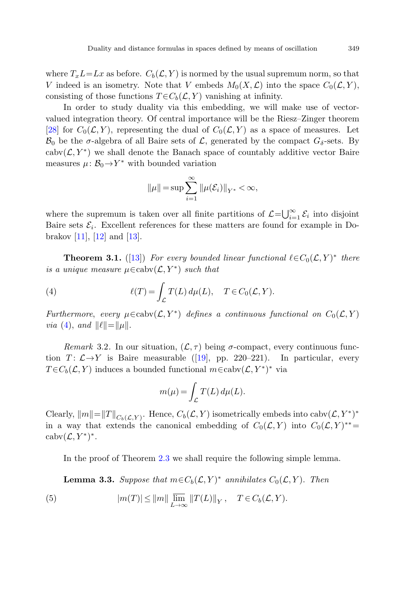where  $T_xL=Lx$  as before.  $C_b(\mathcal{L}, Y)$  is normed by the usual supremum norm, so that V indeed is an isometry. Note that V embeds  $M_0(X, \mathcal{L})$  into the space  $C_0(\mathcal{L}, Y)$ , consisting of those functions  $T \in C_b(\mathcal{L}, Y)$  vanishing at infinity.

In order to study duality via this embedding, we will make use of vectorvalued integration theory. Of central importance will be the Riesz–Zinger theorem [\[28](#page-16-4)] for  $C_0(\mathcal{L}, Y)$ , representing the dual of  $C_0(\mathcal{L}, Y)$  as a space of measures. Let  $\mathcal{B}_0$  be the  $\sigma$ -algebra of all Baire sets of  $\mathcal{L}$ , generated by the compact  $G_{\delta}$ -sets. By cabv $(\mathcal{L}, Y^*)$  we shall denote the Banach space of countably additive vector Baire measures  $\mu: \mathcal{B}_0 \rightarrow Y^*$  with bounded variation

$$
||\mu|| = \sup \sum_{i=1}^{\infty} ||\mu(\mathcal{E}_i)||_{Y^*} < \infty,
$$

<span id="page-4-2"></span><span id="page-4-0"></span>where the supremum is taken over all finite partitions of  $\mathcal{L} = \bigcup_{i=1}^{\infty} \mathcal{E}_i$  into disjoint Baire sets  $\mathcal{E}_i$ . Excellent references for these matters are found for example in Dobrakov  $[11]$  $[11]$ ,  $[12]$  $[12]$  and  $[13]$  $[13]$ .

<span id="page-4-3"></span>**Theorem 3.1.** ([\[13](#page-15-9)]) For every bounded linear functional  $\ell \in C_0(\mathcal{L}, Y)^*$  there is a unique measure  $\mu \in \text{caby}(\mathcal{L}, Y^*)$  such that

(4) 
$$
\ell(T) = \int_{\mathcal{L}} T(L) d\mu(L), \quad T \in C_0(\mathcal{L}, Y).
$$

Furthermore, every  $\mu \in \text{cabv}(\mathcal{L}, Y^*)$  defines a continuous functional on  $C_0(\mathcal{L}, Y)$ *via* [\(4](#page-4-0)), and  $\|\ell\| = \|\mu\|.$ 

Remark 3.2. In our situation,  $(\mathcal{L}, \tau)$  being  $\sigma$ -compact, every continuous function  $T: \mathcal{L} \rightarrow Y$  is Baire measurable ([\[19](#page-15-10)], pp. 220–221). In particular, every  $T \in C_b(\mathcal{L}, Y)$  induces a bounded functional  $m \in \text{cabv}(\mathcal{L}, Y^*)^*$  via

$$
m(\mu) = \int_{\mathcal{L}} T(L) d\mu(L).
$$

<span id="page-4-4"></span><span id="page-4-1"></span>Clearly,  $||m||=||T||_{C_b(\mathcal{L},Y)}$ . Hence,  $C_b(\mathcal{L}, Y)$  isometrically embeds into cabv $(\mathcal{L}, Y^*)^*$ in a way that extends the canonical embedding of  $C_0(\mathcal{L}, Y)$  into  $C_0(\mathcal{L}, Y)^{**}=$  $\operatorname{cabv}(\mathcal{L}, Y^*)^*$ .

In the proof of Theorem [2.3](#page-3-2) we shall require the following simple lemma.

**Lemma 3.3.** Suppose that  $m \in C_b(\mathcal{L}, Y)^*$  annihilates  $C_0(\mathcal{L}, Y)$ . Then

(5) 
$$
|m(T)| \leq ||m|| \lim_{L \to \infty} ||T(L)||_Y, \quad T \in C_b(\mathcal{L}, Y).
$$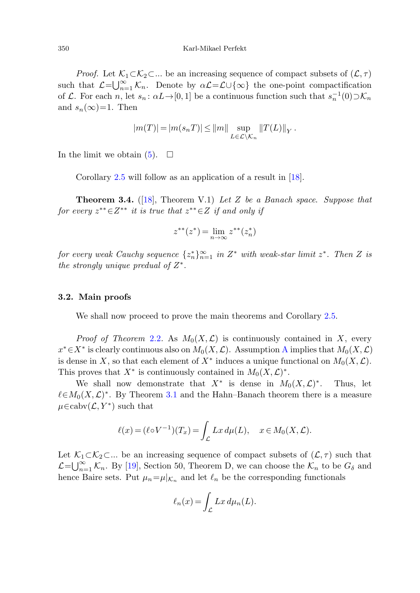*Proof.* Let  $\mathcal{K}_1 \subset \mathcal{K}_2 \subset \ldots$  be an increasing sequence of compact subsets of  $(\mathcal{L}, \tau)$ such that  $\mathcal{L} = \bigcup_{n=1}^{\infty} \mathcal{K}_n$ . Denote by  $\alpha \mathcal{L} = \mathcal{L} \cup \{\infty\}$  the one-point compactification of L. For each n, let  $s_n : \alpha L \to [0, 1]$  be a continuous function such that  $s_n^{-1}(0) \supset \mathcal{K}_n$ and  $s_n(\infty)=1$ . Then

<span id="page-5-0"></span>
$$
|m(T)| = |m(s_n T)| \le ||m|| \sup_{L \in \mathcal{L} \backslash \mathcal{K}_n} ||T(L)||_Y.
$$

In the limit we obtain  $(5)$  $(5)$ .  $\Box$ 

Corollary [2.5](#page-3-3) will follow as an application of a result in [\[18](#page-15-5)].

**Theorem 3***.***4.** ([[18\]](#page-15-5), Theorem V.1) Let Z be a Banach space. Suppose that for every  $z^{**} \in Z^{**}$  it is true that  $z^{**} \in Z$  if and only if

$$
z^{**}(z^*) = \lim_{n \to \infty} z^{**}(z_n^*)
$$

for every weak Cauchy sequence  $\{z_n^*\}_{n=1}^\infty$  in  $Z^*$  with weak-star limit  $z^*$ . Then Z is the strongly unique predual of  $Z^*$ .

#### **3.2. Main proofs**

We shall now proceed to prove the main theorems and Corollary [2.5](#page-3-3).

*Proof of Theorem [2.2](#page-2-0).* As  $M_0(X, \mathcal{L})$  is continuously contained in X, every  $x^* \in X^*$  is clearly continuous also on  $M_0(X, \mathcal{L})$ . [A](#page-2-1)ssumption A implies that  $M_0(X, \mathcal{L})$ is dense in X, so that each element of  $X^*$  induces a unique functional on  $M_0(X, \mathcal{L})$ . This proves that  $X^*$  is continuously contained in  $M_0(X, \mathcal{L})^*$ .

We shall now demonstrate that  $X^*$  is dense in  $M_0(X, \mathcal{L})^*$ . Thus, let  $\ell \in M_0(X, \mathcal{L})^*$ . By Theorem [3.1](#page-4-2) and the Hahn–Banach theorem there is a measure  $\mu \in \mathrm{cabv}(\mathcal{L}, Y^*)$  such that

$$
\ell(x) = (\ell \circ V^{-1})(T_x) = \int_{\mathcal{L}} Lx \, d\mu(L), \quad x \in M_0(X, \mathcal{L}).
$$

Let  $\mathcal{K}_1 \subset \mathcal{K}_2 \subset \dots$  be an increasing sequence of compact subsets of  $(\mathcal{L}, \tau)$  such that  $\mathcal{L}=\bigcup_{n=1}^{\infty}\mathcal{K}_n$ . By [\[19](#page-15-10)], Section 50, Theorem D, we can choose the  $\mathcal{K}_n$  to be  $G_{\delta}$  and hence Baire sets. Put  $\mu_n = \mu|_{\mathcal{K}_n}$  and let  $\ell_n$  be the corresponding functionals

$$
\ell_n(x) = \int_{\mathcal{L}} Lx \, d\mu_n(L).
$$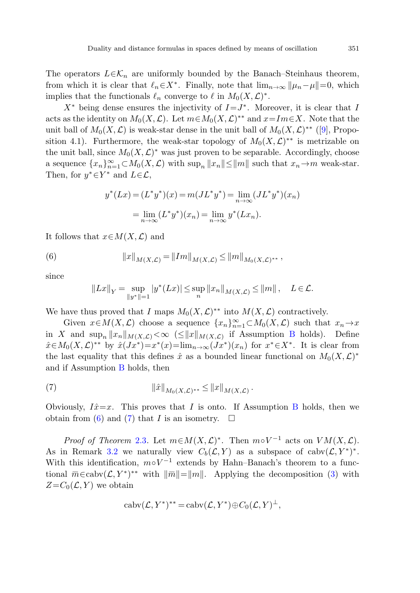The operators  $L \in \mathcal{K}_n$  are uniformly bounded by the Banach–Steinhaus theorem, from which it is clear that  $\ell_n \in X^*$ . Finally, note that  $\lim_{n\to\infty} ||\mu_n-\mu||=0$ , which implies that the functionals  $\ell_n$  converge to  $\ell$  in  $M_0(X,\mathcal{L})^*$ .

 $X^*$  being dense ensures the injectivity of  $I=J^*$ . Moreover, it is clear that I acts as the identity on  $M_0(X, \mathcal{L})$ . Let  $m \in M_0(X, \mathcal{L})^{**}$  and  $x = Im \in X$ . Note that the unit ball of  $M_0(X,\mathcal{L})$  is weak-star dense in the unit ball of  $M_0(X,\mathcal{L})^{**}$  ([\[9](#page-15-11)], Proposition 4.1). Furthermore, the weak-star topology of  $M_0(X,\mathcal{L})^{**}$  is metrizable on the unit ball, since  $M_0(X, \mathcal{L})^*$  was just proven to be separable. Accordingly, choose a sequence  ${x_n}_{n=1}^{\infty} \subset M_0(X, \mathcal{L})$  with  $\sup_n ||x_n|| \le ||m||$  such that  $x_n \to m$  weak-star. Then, for  $y^* \in Y^*$  and  $L \in \mathcal{L}$ ,

$$
y^*(Lx) = (L^*y^*)(x) = m(JL^*y^*) = \lim_{n \to \infty} (JL^*y^*)(x_n)
$$

$$
= \lim_{n \to \infty} (L^*y^*)(x_n) = \lim_{n \to \infty} y^*(Lx_n).
$$

<span id="page-6-0"></span>It follows that  $x \in M(X, \mathcal{L})$  and

(6) 
$$
||x||_{M(X,\mathcal{L})} = ||Im||_{M(X,\mathcal{L})} \le ||m||_{M_0(X,\mathcal{L})^{**}},
$$

since

$$
||Lx||_Y = \sup_{||y^*||=1} |y^*(Lx)| \le \sup_n ||x_n||_{M(X,\mathcal{L})} \le ||m||, \quad L \in \mathcal{L}.
$$

<span id="page-6-1"></span>We have thus proved that I maps  $M_0(X, \mathcal{L})^{**}$  into  $M(X, \mathcal{L})$  contractively.

Given  $x \in M(X, \mathcal{L})$  choose a sequence  $\{x_n\}_{n=1}^{\infty} \subset M_0(X, \mathcal{L})$  such that  $x_n \to x$ in X and  $\sup_n ||x_n||_{M(X,\mathcal{L})} < \infty$  ( $\leq ||x||_{M(X,\mathcal{L})}$  if Assumption [B](#page-2-2) holds). Define  $\hat{x} \in M_0(X, \mathcal{L})^{**}$  by  $\hat{x}(Jx^*)=x^*(x)=\lim_{n\to\infty}(Jx^*)(x_n)$  for  $x^* \in X^*$ . It is clear from the last equality that this defines  $\hat{x}$  as a bounded linear functional on  $M_0(X,\mathcal{L})^*$ and if Assumption [B](#page-2-2) holds, then Given  $x \in M(\Lambda, L)$  choose a sequence  $\{x_n\}_{n=1}^{\infty} \subset M_0(\Lambda, L)$  such that  $x_n \to x$ <br>in X and sup<sub>n</sub>  $||x_n||_{M(X,L)} < \infty$  ( $\leq ||x||_{M(X,L)}$ ) if Assumption B holds). Define<br>the last equality that this defines  $\hat{x}$  as a bounded line

(7) 
$$
\|\hat{x}\|_{M_0(X,\mathcal{L})^{**}} \leq \|x\|_{M(X,\mathcal{L})}.
$$

Obviously,  $I\hat{x}=x$ . This proves that I is onto. If Assumption [B](#page-2-2) holds, then we obtain from ([6\)](#page-6-0) and [\(7](#page-6-1)) that I is an isometry.  $\Box$ 

*Proof of Theorem [2.3](#page-3-2).* Let  $m \in M(X, \mathcal{L})^*$ . Then  $m \circ V^{-1}$  acts on  $VM(X, \mathcal{L})$ . As in Remark [3.2](#page-4-3) we naturally view  $C_b(\mathcal{L}, Y)$  as a subspace of cabv $(\mathcal{L}, Y^*)^*$ . With this identification,  $m \circ V^{-1}$  extends by Hahn–Banach's theorem to a func-<br>tional  $\overline{m} \in \text{cabv}(\mathcal{L}, Y^*)^{**}$  with  $\|\overline{m}\| = \|m\|$ . Applying the decomposition (3) with  $Z=C_0(\mathcal{L}, Y)$  we obtain

$$
cabv(\mathcal{L}, Y^*)^{**} = cabv(\mathcal{L}, Y^*) \oplus C_0(\mathcal{L}, Y)^{\perp},
$$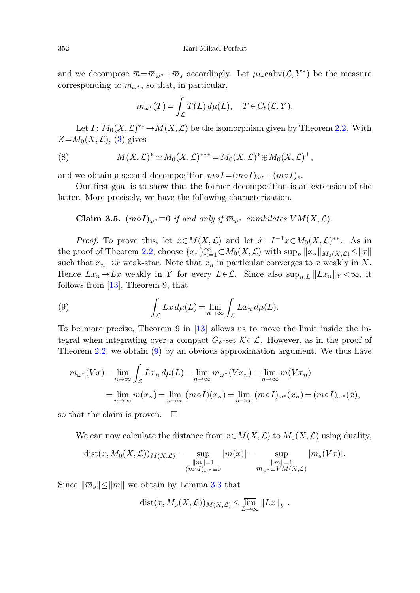352 Karl-Mikael Perfekt<br>and we decompose  $\overline{m} = \overline{m}_{\omega^*} + \overline{m}_s$  accordingly. Let  $\mu \in \text{cabv}(\mathcal{L}, Y^*)$  be the measure 352 Karl-Mikael P<br>and we decompose  $\overline{m} = \overline{m}_{\omega^*} + \overline{m}_s$  accordingly<br>corresponding to  $\overline{m}_{\omega^*}$ , so that, in particular,  $\bar{n} = \overline{m}_{\omega^*} + \overline{m}_{\omega^*}$ <br>\*, so that, i<br> $\overline{m}_{\omega^*}(T) =$ 

$$
\overline{m}_{\omega^*}(T) = \int_{\mathcal{L}} T(L) d\mu(L), \quad T \in C_b(\mathcal{L}, Y).
$$

<span id="page-7-1"></span>Let  $I: M_0(X, \mathcal{L})^{**} \to M(X, \mathcal{L})$  be the isomorphism given by Theorem [2.2](#page-2-0). With  $Z=M_0(X,\mathcal{L}),$  ([3\)](#page-3-4) gives **Compose**  $\overline{m} = \overline{m}_{\omega^*} + \overline{m}_s$  accordingly. Let  $\mu \in \text{cabv}(\mathcal{L}, Y^*)$  be the sponding to  $\overline{m}_{\omega^*}$ , so that, in particular,<br>  $\overline{m}_{\omega^*}(T) = \int_{\mathcal{L}} T(L) d\mu(L), \quad T \in C_b(\mathcal{L}, Y)$ .<br>
Let  $I: M_0(X, \mathcal{L})^{**} \to M(X, \mathcal{L})$ 

(8) 
$$
M(X, \mathcal{L})^* \simeq M_0(X, \mathcal{L})^{***} = M_0(X, \mathcal{L})^* \oplus M_0(X, \mathcal{L})^{\perp},
$$

and we obtain a second decomposition  $m \circ I = (m \circ I)_{\omega^*} + (m \circ I)_s$ .

Our first goal is to show that the former decomposition is an extension of the latter. More precisely, we have the following characterization.

<span id="page-7-0"></span>*Proof.* To prove this, let  $x \in M(X, \mathcal{L})$  and let  $\hat{x} = I^{-1}x \in M_0(X, \mathcal{L})^{**}$ . As in the proof of Theorem [2.2,](#page-2-0) choose  $\{x_n\}_{n=1}^{\infty} \subset M_0(X, \mathcal{L})$  with  $\sup_n ||x_n||_{M_0(X, \mathcal{L})} \le ||\hat{x}||$ such that  $x_n \to \hat{x}$  weak-star. Note that  $x_n$  in particular converges to x weakly in X. Hence  $Lx_n \to Lx$  weakly in Y for every  $L \in \mathcal{L}$ . Since also  $\sup_{n,L} ||Lx_n||_Y < \infty$ , it follows from [[13\]](#page-15-9), Theorem 9, that Proof. To prove proof of Theore<br>there there there there  $Lx_n \rightarrow \hat{x}$  we once  $Lx_n \rightarrow Lx$  with that  $x_n \rightarrow Lx$  with  $[13]$ , T<br>be more precise ral when integration  $2.2$ , we obtain  $\overline{m}_{\omega^*}(Vx) = \lim_{n \rightarrow \infty}$ Let  $x \in M(X, \mathcal{L})$  and let  $\hat{x} = I^{-1}x \in M_0$ <br>
Let  $\hat{x} = I^{-1}x \in M_0$ .<br>
Let  $\hat{x} = I^{-1}x \in M_0$ .<br>
Let  $\hat{x} = I^{-1}x \in M_0$ .<br>
Let  $\hat{x} = I^{-1}x \in M_0$ .<br>
Let  $\hat{x} = I^{-1}x \in M_0$ .<br>
Let  $\hat{x} = I^{-1}x \in M_0$ .<br>
Let  $\hat{x} = I^{-1}x \in M_0$ .<br>
Let  $\hat$ 

(9) 
$$
\int_{\mathcal{L}} Lx \, d\mu(L) = \lim_{n \to \infty} \int_{\mathcal{L}} Lx_n \, d\mu(L).
$$

To be more precise, Theorem 9 in [\[13](#page-15-9)] allows us to move the limit inside the integral when integrating over a compact  $G_{\delta}$ -set  $\mathcal{K}\subset\mathcal{L}$ . However, as in the proof of Theorem [2.2](#page-2-0), we obtain [\(9](#page-7-0)) by an obvious approximation argument. We thus have

(9) 
$$
\int_{\mathcal{L}} Lx \, d\mu(L) = \lim_{n \to \infty} \int_{\mathcal{L}} Lx_n \, d\mu(L).
$$
  
To be more precise, Theorem 9 in [13] allows us to move the limit inside the  
tegral when integrating over a compact  $G_{\delta}$ -set  $K \subset \mathcal{L}$ . However, as in the proof  
Theorem 2.2, we obtain (9) by an obvious approximation argument. We thus h.  

$$
\overline{m}_{\omega^*}(Vx) = \lim_{n \to \infty} \int_{\mathcal{L}} Lx_n \, d\mu(L) = \lim_{n \to \infty} \overline{m}_{\omega^*}(Vx_n) = \lim_{n \to \infty} \overline{m}(Vx_n)
$$

$$
= \lim_{n \to \infty} m(x_n) = \lim_{n \to \infty} (m \circ I)(x_n) = \lim_{n \to \infty} (m \circ I)_{\omega^*}(x_n) = (m \circ I)_{\omega^*}(\hat{x}),
$$
so that the claim is proven.  $\Box$   
We can now calculate the distance from  $x \in M(X, \mathcal{L})$  to  $M_0(X, \mathcal{L})$  using dual  

$$
dist(x, M_0(X, \mathcal{L}))_{M(X, \mathcal{L})} = \sup_{\substack{\|m\| = 1 \\ m \circ I_{\omega^*} = 0}} |m(x)| = \sup_{\substack{\|m\| = 1 \\ m \circ I_{\omega^*} \perp VM(X, \mathcal{L})}} |\overline{m}_s(Vx)|.
$$
Since  $\|\overline{m}_s\| \le \|m\|$  we obtain by Lemma 3.3 that

so that the claim is proven.  $\Box$ 

We can now calculate the distance from  $x \in M(X, \mathcal{L})$  to  $M_0(X, \mathcal{L})$  using duality,

$$
dist(x, M_0(X, \mathcal{L}))_{M(X, \mathcal{L})} = \sup_{\substack{\|m\|=1\\ (m \circ I)_{\omega^*} \equiv 0}} |m(x)| = \sup_{\substack{\|m\|=1\\ \overline{m}_{\omega^*} \perp VM(X, \mathcal{L})}} |\overline{m}_s(Vx)|.
$$

$$
dist(x, M_0(X, \mathcal{L}))_{M(X, \mathcal{L})} \leq \overline{\lim_{L \to \infty}} ||Lx||_Y.
$$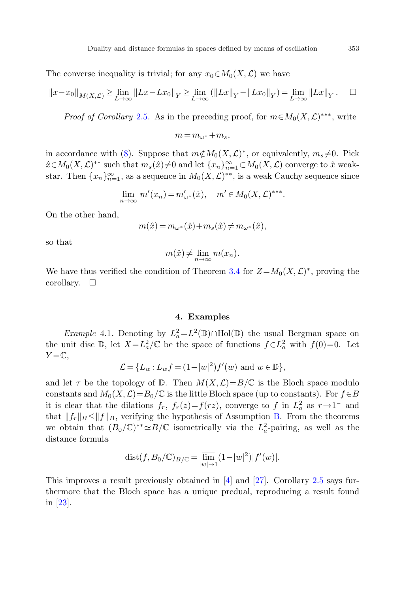The converse inequality is trivial; for any  $x_0 \in M_0(X, \mathcal{L})$  we have

$$
||x - x_0||_{M(X, \mathcal{L})} \ge \overline{\lim}_{L \to \infty} ||Lx - Lx_0||_Y \ge \overline{\lim}_{L \to \infty} (||Lx||_Y - ||Lx_0||_Y) = \overline{\lim}_{L \to \infty} ||Lx||_Y.
$$

*Proof of Corollary [2.5](#page-3-3).* As in the preceding proof, for  $m \in M_0(X, \mathcal{L})^{**}$ , write

$$
m=m_{\omega^*}+m_s,
$$

in accordance with [\(8](#page-7-1)). Suppose that  $m\notin M_0(X,\mathcal{L})^*$ , or equivalently,  $m_s \neq 0$ . Pick  $\hat{x} \in M_0(X, \mathcal{L})^{**}$  such that  $m_s(\hat{x}) \neq 0$  and let  $\{x_n\}_{n=1}^{\infty} \subset M_0(X, \mathcal{L})$  converge to  $\hat{x}$  weakstar. Then  $\{x_n\}_{n=1}^{\infty}$ , as a sequence in  $M_0(X, \mathcal{L})^{**}$ , is a weak Cauchy sequence since

$$
\lim_{n \to \infty} m'(x_n) = m'_{\omega^*}(\hat{x}), \quad m' \in M_0(X, \mathcal{L})^{***}.
$$

On the other hand,

$$
m(\hat x) \,{=}\, m_{\omega^*}(\hat x) \,{+}\, m_s(\hat x) \,{\neq}\, m_{\omega^*}(\hat x),
$$

<span id="page-8-1"></span><span id="page-8-0"></span>so that

$$
m(\hat{x}) \neq \lim_{n \to \infty} m(x_n).
$$

We have thus verified the condition of Theorem [3.4](#page-5-0) for  $Z=M_0(X,\mathcal{L})^*$ , proving the corollary.  $\square$ 

# **4. Examples**

*Example* 4.1. Denoting by  $L_a^2 = L^2(\mathbb{D}) \cap \text{Hol}(\mathbb{D})$  the usual Bergman space on the unit disc  $\mathbb{D}$ , let  $X = L_a^2/\mathbb{C}$  be the space of functions  $f \in L_a^2$  with  $f(0)=0$ . Let  $Y = \mathbb{C}$ ,

$$
\mathcal{L} = \{L_w : L_w f = (1 - |w|^2) f'(w) \text{ and } w \in \mathbb{D}\},\
$$

and let  $\tau$  be the topology of D. Then  $M(X, \mathcal{L})=B/\mathbb{C}$  is the Bloch space modulo constants and  $M_0(X,\mathcal{L})=B_0/\mathbb{C}$  is the little Bloch space (up to constants). For  $f\in B$ it is clear that the dilations  $f_r$ ,  $f_r(z)=f(rz)$ , converge to f in  $L^2_a$  as  $r\rightarrow 1^-$  and that  $||f_r||_B \le ||f||_B$  $||f_r||_B \le ||f||_B$  $||f_r||_B \le ||f||_B$ , verifying the hypothesis of Assumption B. From the theorems we obtain that  $(B_0/\mathbb{C})^{**} \simeq B/\mathbb{C}$  isometrically via the  $L^2_a$ -pairing, as well as the distance formula

dist
$$
(f, B_0/\mathbb{C})_{B/\mathbb{C}} = \overline{\lim}_{|w|\to 1} (1-|w|^2)|f'(w)|.
$$

This improves a result previously obtained in [\[4](#page-15-2)] and [\[27\]](#page-16-1). Corollary [2.5](#page-3-3) says furthermore that the Bloch space has a unique predual, reproducing a result found in [[23\]](#page-16-3).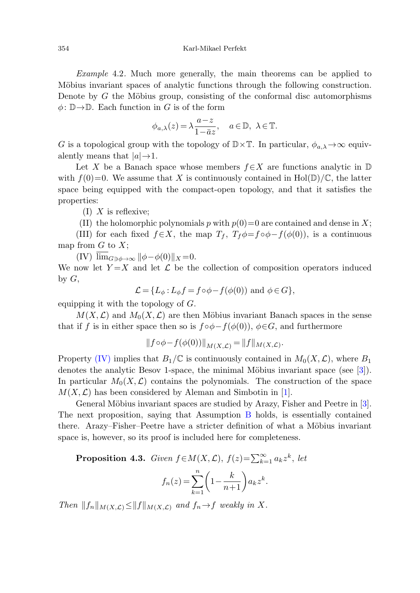Example 4.2. Much more generally, the main theorems can be applied to Möbius invariant spaces of analytic functions through the following construction. Denote by  $G$  the Möbius group, consisting of the conformal disc automorphisms  $\phi: \mathbb{D} \to \mathbb{D}$ . Each function in G is of the form

$$
\phi_{a,\lambda}(z) = \lambda \frac{a-z}{1-\bar{a}z}, \quad a \in \mathbb{D}, \lambda \in \mathbb{T}.
$$

<span id="page-9-2"></span><span id="page-9-1"></span>G is a topological group with the topology of  $\mathbb{D}\times\mathbb{T}$ . In particular,  $\phi_{a,\lambda}\to\infty$  equivalently means that  $|a| \rightarrow 1$ .

<span id="page-9-0"></span>Let X be a Banach space whose members  $f \in X$  are functions analytic in D with  $f(0)=0$ . We assume that X is continuously contained in Hol(D)/C, the latter space being equipped with the compact-open topology, and that it satisfies the properties:

 $(I)$  X is reflexive;

(II) the holomorphic polynomials p with 
$$
p(0)=0
$$
 are contained and dense in X;

(III) for each fixed  $f \in X$ , the map  $T_f$ ,  $T_f \phi = f \circ \phi - f(\phi(0))$ , is a continuous map from  $G$  to  $X$ ;

(IV)  $\overline{\lim}_{G\ni\phi\to\infty} \|\phi-\phi(0)\|_X=0.$ 

We now let  $Y = X$  and let  $\mathcal L$  be the collection of composition operators induced by  $G$ ,

$$
\mathcal{L} = \{L_{\phi}: L_{\phi}f = f \circ \phi - f(\phi(0)) \text{ and } \phi \in G\},\
$$

equipping it with the topology of  $G$ .

 $M(X, \mathcal{L})$  and  $M_0(X, \mathcal{L})$  are then Möbius invariant Banach spaces in the sense that if f is in either space then so is  $f \circ \phi - f(\phi(0))$ ,  $\phi \in G$ , and furthermore

$$
||f \circ \phi - f(\phi(0))||_{M(X,\mathcal{L})} = ||f||_{M(X,\mathcal{L})}.
$$

Property [\(IV\)](#page-9-0) implies that  $B_1/\mathbb{C}$  is continuously contained in  $M_0(X,\mathcal{L})$ , where  $B_1$ denotes the analytic Besov 1-space, the minimal Möbius invariant space (see  $[3]$  $[3]$ ). In particular  $M_0(X, \mathcal{L})$  contains the polynomials. The construction of the space  $M(X, \mathcal{L})$  has been considered by Aleman and Simbotin in [\[1](#page-15-13)].

General Möbius invariant spaces are studied by Arazy, Fisher and Peetre in [\[3](#page-15-12)]. The next proposition, saying that Assumption [B](#page-2-2) holds, is essentially contained there. Arazy–Fisher–Peetre have a stricter definition of what a Möbius invariant space is, however, so its proof is included here for completeness.

**Proposition 4.3.** Given  $f \in M(X, \mathcal{L})$ ,  $f(z) = \sum_{k=1}^{\infty} a_k z^k$ , let  $f_n(z) = \sum_{n=1}^{n}$  $k=1$  $\left(1-\frac{k}{n+1}\right)a_kz^k$ .

Then  $||f_n||_{M(X,\mathcal{L})} \leq ||f||_{M(X,\mathcal{L})}$  and  $f_n \to f$  weakly in X.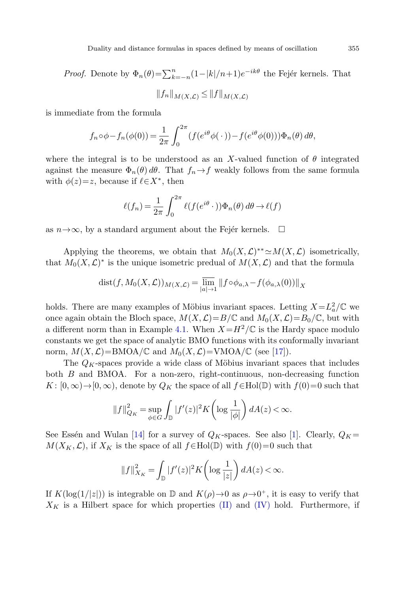*Proof.* Denote by  $\Phi_n(\theta) = \sum_{k=-n}^n (1-|k|/n+1)e^{-ik\theta}$  the Fejér kernels. That

$$
||f_n||_{M(X,\mathcal{L})} \leq ||f||_{M(X,\mathcal{L})}
$$

is immediate from the formula

$$
f_n \circ \phi - f_n(\phi(0)) = \frac{1}{2\pi} \int_0^{2\pi} (f(e^{i\theta} \phi(\cdot)) - f(e^{i\theta} \phi(0))) \Phi_n(\theta) d\theta,
$$

where the integral is to be understood as an X-valued function of  $\theta$  integrated against the measure  $\Phi_n(\theta) d\theta$ . That  $f_n \to f$  weakly follows from the same formula with  $\phi(z)=z$ , because if  $\ell \in X^*$ , then

$$
\ell(f_n) = \frac{1}{2\pi} \int_0^{2\pi} \ell(f(e^{i\theta} \cdot)) \Phi_n(\theta) d\theta \to \ell(f)
$$

as  $n\rightarrow\infty$ , by a standard argument about the Fejér kernels.  $\Box$ 

Applying the theorems, we obtain that  $M_0(X, \mathcal{L})^{**} \simeq M(X, \mathcal{L})$  isometrically, that  $M_0(X, \mathcal{L})^*$  is the unique isometric predual of  $M(X, \mathcal{L})$  and that the formula

$$
dist(f, M_0(X, \mathcal{L}))_{M(X, \mathcal{L})} = \overline{\lim_{|a| \to 1}} ||f \circ \phi_{a,\lambda} - f(\phi_{a,\lambda}(0))||_X
$$

holds. There are many examples of Möbius invariant spaces. Letting  $X = L_a^2/\mathbb{C}$  we once again obtain the Bloch space,  $M(X, \mathcal{L})=B/\mathbb{C}$  and  $M_0(X, \mathcal{L})=B_0/\mathbb{C}$ , but with a different norm than in Example [4.1.](#page-8-1) When  $X=H^2/\mathbb{C}$  is the Hardy space modulo constants we get the space of analytic BMO functions with its conformally invariant norm,  $M(X, \mathcal{L}) = \text{BMOA}/\mathbb{C}$  and  $M_0(X, \mathcal{L}) = \text{VMOA}/\mathbb{C}$  (see [\[17](#page-15-6)]).

The  $Q_K$ -spaces provide a wide class of Möbius invariant spaces that includes both  $B$  and BMOA. For a non-zero, right-continuous, non-decreasing function  $K: [0, \infty) \to [0, \infty)$ , denote by  $Q_K$  the space of all  $f \in Hol(\mathbb{D})$  with  $f(0)=0$  such that

$$
||f||_{Q_K}^2 = \sup_{\phi \in G} \int_{\mathbb{D}} |f'(z)|^2 K\left(\log \frac{1}{|\phi|}\right) dA(z) < \infty.
$$

See Essén and Wulan [[14\]](#page-15-14) for a survey of  $Q_K$ -spaces. See also [[1\]](#page-15-13). Clearly,  $Q_K =$  $M(X_K,\mathcal{L})$ , if  $X_K$  is the space of all  $f \in Hol(\mathbb{D})$  with  $f(0)=0$  such that

$$
||f||_{X_K}^2 = \int_{\mathbb{D}} |f'(z)|^2 K \left( \log \frac{1}{|z|} \right) dA(z) < \infty.
$$

If  $K(\log(1/|z|))$  is integrable on  $\mathbb D$  and  $K(\rho) \to 0$  as  $\rho \to 0^+$ , it is easy to verify that  $X_K$  is a Hilbert space for which properties [\(II\)](#page-9-1) and [\(IV\)](#page-9-0) hold. Furthermore, if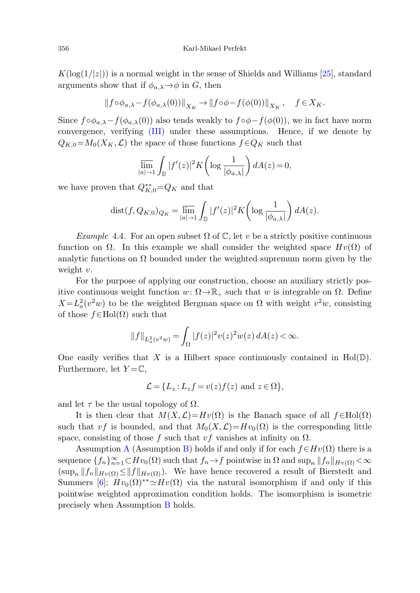$K(\log(1/|z|))$  is a normal weight in the sense of Shields and Williams [[25\]](#page-16-5), standard arguments show that if  $\phi_{a,\lambda} \rightarrow \phi$  in G, then

$$
\|f\circ\phi_{a,\lambda}-f(\phi_{a,\lambda}(0))\|_{X_K}\to\|f\circ\phi-f(\phi(0))\|_{X_K},\quad f\in X_K.
$$

Since  $f \circ \phi_{a,\lambda} - f(\phi_{a,\lambda}(0))$  also tends weakly to  $f \circ \phi - f(\phi(0))$ , we in fact have norm convergence, verifying [\(III\)](#page-9-2) under these assumptions. Hence, if we denote by  $Q_{K,0} = M_0(X_K,\mathcal{L})$  the space of those functions  $f \in Q_K$  such that

$$
\overline{\lim}_{|a| \to 1} \int_{\mathbb{D}} |f'(z)|^2 K\left(\log \frac{1}{|\phi_{a,\lambda}|}\right) dA(z) = 0,
$$

we have proven that  $Q_{K,0}^{**}$ = $Q_K$  and that

$$
dist(f, Q_{K,0})_{Q_K} = \overline{\lim}_{|a| \to 1} \int_{\mathbb{D}} |f'(z)|^2 K\left(\log \frac{1}{|\phi_{a,\lambda}|}\right) dA(z).
$$

Example 4.4. For an open subset  $\Omega$  of C, let v be a strictly positive continuous function on  $\Omega$ . In this example we shall consider the weighted space  $Hv(\Omega)$  of analytic functions on  $\Omega$  bounded under the weighted supremum norm given by the weight  $v$ .

For the purpose of applying our construction, choose an auxiliary strictly positive continuous weight function  $w: \Omega \to \mathbb{R}_+$  such that w is integrable on  $\Omega$ . Define  $X = L<sub>a</sub><sup>2</sup>(v<sup>2</sup>w)$  to be the weighted Bergman space on  $\Omega$  with weight  $v<sup>2</sup>w$ , consisting of those  $f \in Hol(\Omega)$  such that

$$
||f||_{L^2_a(v^2w)} = \int_{\Omega} |f(z)|^2 v(z)^2 w(z) dA(z) < \infty.
$$

One easily verifies that X is a Hilbert space continuously contained in  $Hol(\mathbb{D})$ . Furthermore, let  $Y = \mathbb{C}$ ,

$$
\mathcal{L} = \{L_z : L_z f = v(z)f(z) \text{ and } z \in \Omega\},\
$$

and let  $\tau$  be the usual topology of  $\Omega$ .

It is then clear that  $M(X,\mathcal{L})=Hv(\Omega)$  is the Banach space of all  $f\in Hol(\Omega)$ such that vf is bounded, and that  $M_0(X, \mathcal{L})=Hv_0(\Omega)$  is the corresponding little space, consisting of those f such that vf vanishes at infinity on  $\Omega$ .

[A](#page-2-1)ssumption A (Assumption [B](#page-2-2)) holds if and only if for each  $f\in H_v(\Omega)$  there is a sequence  $\{f_n\}_{n=1}^{\infty} \subset Hv_0(\Omega)$  such that  $f_n \to f$  pointwise in  $\Omega$  and  $\sup_n ||f_n||_{H^v(\Omega)} < \infty$  $(\sup_n ||f_n||_{H_v(\Omega)} \le ||f||_{H_v(\Omega)})$ . We have hence recovered a result of Bierstedt and Summers [[6\]](#page-15-4);  $Hv_0(\Omega)^{**} \simeq Hv(\Omega)$  via the natural isomorphism if and only if this pointwise weighted approximation condition holds. The isomorphism is isometric precisely when Assumption [B](#page-2-2) holds.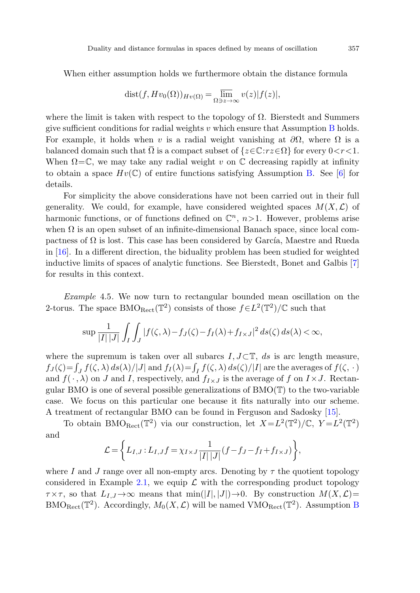When either assumption holds we furthermore obtain the distance formula

$$
dist(f, Hv_0(\Omega))_{Hv(\Omega)} = \overline{\lim}_{\Omega \ni z \to \infty} v(z)|f(z)|,
$$

where the limit is taken with respect to the topology of  $\Omega$ . Bierstedt and Summers give sufficient conditions for radial weights v which ensure that Assumption [B](#page-2-2) holds. For example, it holds when v is a radial weight vanishing at  $\partial\Omega$ , where  $\Omega$  is a buality and distance formulas in spaces defined by means of oscillation 357<br>
When either assumption holds we furthermore obtain the distance formula<br>  $dist(f, Hv_0(\Omega))_{Hv(\Omega)} = \frac{\overline{\lim}}{\Omega \ni x \to \infty} v(z)|f(z)|$ ,<br>
where the limit is taken When  $\Omega = \mathbb{C}$ , we may take any radial weight v on  $\mathbb{C}$  decreasing rapidly at infinity to obtain a space  $Hv(\mathbb{C})$  of entire functions satisfying Assumption [B.](#page-2-2) See [[6\]](#page-15-4) for details.

For simplicity the above considerations have not been carried out in their full generality. We could, for example, have considered weighted spaces  $M(X, \mathcal{L})$  of harmonic functions, or of functions defined on  $\mathbb{C}^n$ ,  $n>1$ . However, problems arise when  $\Omega$  is an open subset of an infinite-dimensional Banach space, since local compactness of  $\Omega$  is lost. This case has been considered by García, Maestre and Rueda in [\[16](#page-15-15)]. In a different direction, the biduality problem has been studied for weighted inductive limits of spaces of analytic functions. See Bierstedt, Bonet and Galbis [[7\]](#page-15-16) for results in this context.

Example 4.5. We now turn to rectangular bounded mean oscillation on the 2-torus. The space BMO<sub>Rect</sub>( $\mathbb{T}^2$ ) consists of those  $f \in L^2(\mathbb{T}^2)/\mathbb{C}$  such that

$$
\sup \frac{1}{|I||J|} \int_I \int_J |f(\zeta,\lambda) - f_J(\zeta) - f_I(\lambda) + f_{I\times J}|^2 ds(\zeta) ds(\lambda) < \infty,
$$

where the supremum is taken over all subarcs  $I, J \subset \mathbb{T}$ , ds is arc length measure,  $f_J(\zeta) = \int_J f(\zeta,\lambda) ds(\lambda) / |J|$  and  $f_I(\lambda) = \int_I f(\zeta,\lambda) ds(\zeta) / |I|$  are the averages of  $f(\zeta, \cdot)$ and  $f(\cdot, \lambda)$  on J and I, respectively, and  $f_{I \times J}$  is the average of f on  $I \times J$ . Rectangular BMO is one of several possible generalizations of  $BMO(T)$  to the two-variable case. We focus on this particular one because it fits naturally into our scheme. A treatment of rectangular BMO can be found in Ferguson and Sadosky [[15\]](#page-15-17).

To obtain BMO<sub>Rect</sub>( $\mathbb{T}^2$ ) via our construction, let  $X = L^2(\mathbb{T}^2)/\mathbb{C}$ ,  $Y = L^2(\mathbb{T}^2)$ and

$$
\mathcal{L} = \left\{ L_{I,J} : L_{I,J} f = \chi_{I \times J} \frac{1}{|I| |J|} (f - f_J - f_I + f_{I \times J}) \right\},\,
$$

where I and J range over all non-empty arcs. Denoting by  $\tau$  the quotient topology considered in Example [2.1](#page-2-3), we equip  $\mathcal L$  with the corresponding product topology  $\tau \times \tau$ , so that  $L_{I,J} \to \infty$  means that  $\min(|I|,|J|) \to 0$ . By construction  $M(X,\mathcal{L})=$  $BMO_{Rect}(\mathbb{T}^2)$  $BMO_{Rect}(\mathbb{T}^2)$ . Accordingly,  $M_0(X, \mathcal{L})$  will be named VMO<sub>Rect</sub> ( $\mathbb{T}^2$ ). Assumption B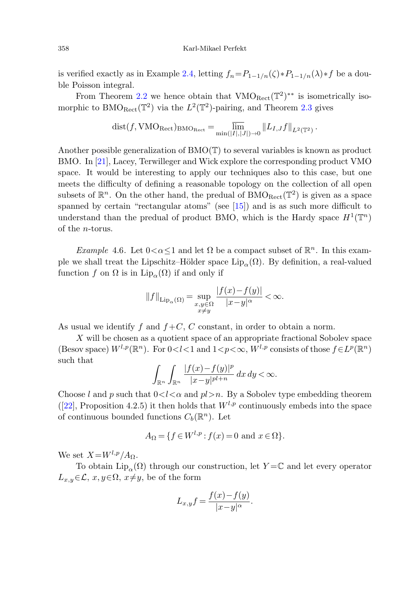is verified exactly as in Example [2.4,](#page-3-5) letting  $f_n = P_{1-1/n}(\zeta) * P_{1-1/n}(\lambda) * f$  be a double Poisson integral.

From Theorem [2.2](#page-2-0) we hence obtain that  $VMO_{Rect}(\mathbb{T}^2)^{**}$  is isometrically isomorphic to BMO<sub>Rect</sub>( $\mathbb{T}^2$ ) via the  $L^2(\mathbb{T}^2)$ -pairing, and Theorem [2.3](#page-3-2) gives

$$
\mathrm{dist}(f, \mathrm{VMO}_{\mathrm{Rect}})_{\mathrm{BMO}_{\mathrm{Rect}}} = \overline{\lim_{\min(|I|,|J|) \to 0}} \|L_{I,J}f\|_{L^2(\mathbb{T}^2)}.
$$

<span id="page-13-0"></span>Another possible generalization of  $BMO(T)$  to several variables is known as product BMO. In [[21\]](#page-15-18), Lacey, Terwilleger and Wick explore the corresponding product VMO space. It would be interesting to apply our techniques also to this case, but one meets the difficulty of defining a reasonable topology on the collection of all open subsets of  $\mathbb{R}^n$ . On the other hand, the predual of BMO<sub>Rect</sub>( $\mathbb{T}^2$ ) is given as a space spanned by certain "rectangular atoms" (see [[15\]](#page-15-17)) and is as such more difficult to understand than the predual of product BMO, which is the Hardy space  $H^1(\mathbb{T}^n)$ of the n-torus.

Example 4.6. Let  $0 < \alpha < 1$  and let  $\Omega$  be a compact subset of  $\mathbb{R}^n$ . In this example we shall treat the Lipschitz–Hölder space  $\text{Lip}_{\alpha}(\Omega)$ . By definition, a real-valued function f on  $\Omega$  is in  $\text{Lip}_{\alpha}(\Omega)$  if and only if

$$
||f||_{\text{Lip}_{\alpha}(\Omega)} = \sup_{\substack{x,y \in \Omega \\ x \neq y}} \frac{|f(x) - f(y)|}{|x - y|^{\alpha}} < \infty.
$$

As usual we identify f and  $f + C$ , C constant, in order to obtain a norm.

X will be chosen as a quotient space of an appropriate fractional Sobolev space (Besov space)  $W^{l,p}(\mathbb{R}^n)$ . For  $0 < l < 1$  and  $1 < p < \infty$ ,  $W^{l,p}$  consists of those  $f \in L^p(\mathbb{R}^n)$ such that

$$
\int_{\mathbb{R}^n} \int_{\mathbb{R}^n} \frac{|f(x)-f(y)|^p}{|x-y|^{p l+n}} dx dy < \infty.
$$

Choose l and p such that  $0 < l < \alpha$  and  $pl > n$ . By a Sobolev type embedding theorem ([\[22](#page-15-19)], Proposition 4.2.5) it then holds that  $W^{l,p}$  continuously embeds into the space of continuous bounded functions  $C_b(\mathbb{R}^n)$ . Let

$$
A_{\Omega} = \{ f \in W^{l,p} : f(x) = 0 \text{ and } x \in \Omega \}.
$$

We set  $X=W^{l,p}/A_{\Omega}$ .

To obtain  $\text{Lip}_{\alpha}(\Omega)$  through our construction, let  $Y = \mathbb{C}$  and let every operator  $L_{x,y} \in \mathcal{L}, x, y \in \Omega, x \neq y$ , be of the form

$$
L_{x,y}f = \frac{f(x) - f(y)}{|x - y|^{\alpha}}.
$$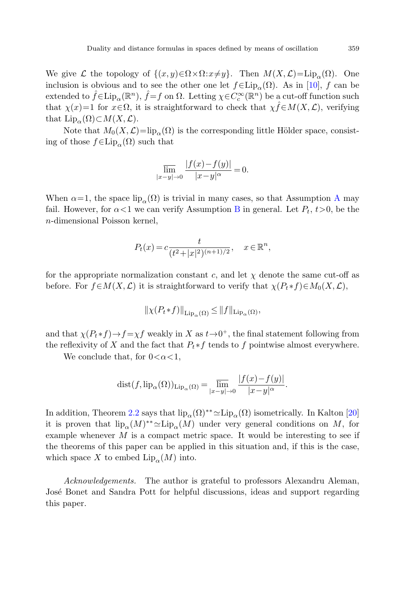We give L the topology of  $\{(x, y) \in \Omega \times \Omega : x \neq y\}$ . Then  $M(X, \mathcal{L}) = \text{Lip}_{\alpha}(\Omega)$ . One inclusion is obvious and to see the other one let  $f \in Lip<sub>\alpha</sub>(\Omega)$ . As in [\[10](#page-15-20)], f can be extended to  $\hat{f} \in \text{Lip}_{\alpha}(\mathbb{R}^n)$ ,  $\hat{f} = f$  on  $\Omega$ . Letting  $\chi \in C_c^{\infty}(\mathbb{R}^n)$  be a cut-off function such that  $\chi(x)=1$  for  $x \in \Omega$ , it is straightforward to check that  $\chi \hat{f} \in M(X, \mathcal{L})$ , verifying that  $\text{Lip}_{\alpha}(\Omega) \subset M(X,\mathcal{L}).$ 

Note that  $M_0(X, \mathcal{L}) = \text{lip}_{\alpha}(\Omega)$  is the corresponding little Hölder space, consisting of those  $f \in \text{Lip}_{\alpha}(\Omega)$  such that

$$
\overline{\lim_{|x-y|\to 0}}\frac{|f(x)-f(y)|}{|x-y|^{\alpha}}=0.
$$

When  $\alpha=1$ , the space lip<sub> $\alpha(\Omega)$ </sub> is trivial in many cases, so that [A](#page-2-1)ssumption A may fail. However, for  $\alpha < 1$  we can verify Assumption [B](#page-2-2) in general. Let  $P_t$ ,  $t > 0$ , be the n-dimensional Poisson kernel,

$$
P_t(x) = c \frac{t}{(t^2 + |x|^2)^{(n+1)/2}}, \quad x \in \mathbb{R}^n,
$$

for the appropriate normalization constant c, and let  $\chi$  denote the same cut-off as before. For  $f \in M(X, \mathcal{L})$  it is straightforward to verify that  $\chi(P_t * f) \in M_0(X, \mathcal{L})$ ,

$$
\|\chi(P_t * f)\|_{\mathrm{Lip}_{\alpha}(\Omega)} \leq \|f\|_{\mathrm{Lip}_{\alpha}(\Omega)},
$$

and that  $\chi(P_t * f) \to f = \chi f$  weakly in X as  $t \to 0^+$ , the final statement following from the reflexivity of X and the fact that  $P_t * f$  tends to f pointwise almost everywhere.

We conclude that, for  $0 < \alpha < 1$ ,

$$
dist(f, {lip_\alpha(\Omega)})_{{\mathrm{Lip}_\alpha(\Omega)}}=\overline{\lim_{|x-y|\to 0}}\,\frac{|f(x)-f(y)|}{|x-y|^\alpha}.
$$

In addition, Theorem [2.2](#page-2-0) says that  $lip_{\alpha}(\Omega)^{**} \simeq Lip_{\alpha}(\Omega)$  isometrically. In Kalton [[20\]](#page-15-21) it is proven that  $\text{lip}_{\alpha}(M)^{**} \simeq \text{Lip}_{\alpha}(M)$  under very general conditions on M, for example whenever  $M$  is a compact metric space. It would be interesting to see if the theorems of this paper can be applied in this situation and, if this is the case, which space X to embed  $\text{Lip}_{\alpha}(M)$  into.

Acknowledgements. The author is grateful to professors Alexandru Aleman, José Bonet and Sandra Pott for helpful discussions, ideas and support regarding this paper.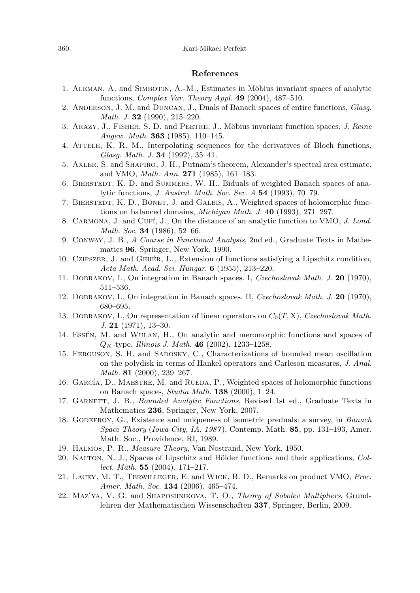### **References**

- <span id="page-15-13"></span><span id="page-15-12"></span><span id="page-15-3"></span><span id="page-15-2"></span><span id="page-15-0"></span>1. ALEMAN, A. and SIMBOTIN, A.-M., Estimates in Möbius invariant spaces of analytic functions, Complex Var. Theory Appl. **49** (2004), 487–510.
- <span id="page-15-4"></span>2. ANDERSON, J. M. and DUNCAN, J., Duals of Banach spaces of entire functions, Glasg. Math. J. **32** (1990), 215–220.
- <span id="page-15-16"></span>3. ARAZY, J., FISHER, S. D. and PEETRE, J., Möbius invariant function spaces, J. Reine Angew. Math. **363** (1985), 110–145.
- <span id="page-15-1"></span>4. ATTELE, K. R. M., Interpolating sequences for the derivatives of Bloch functions, Glasg. Math. J. **34** (1992), 35–41.
- <span id="page-15-11"></span>5. Axler, S. and Shapiro, J. H., Putnam's theorem, Alexander's spectral area estimate, and VMO, Math. Ann. **271** (1985), 161–183.
- <span id="page-15-20"></span>6. BIERSTEDT, K. D. and SUMMERS, W. H., Biduals of weighted Banach spaces of analytic functions, J. Austral. Math. Soc. Ser. A **54** (1993), 70–79.
- <span id="page-15-7"></span>7. BIERSTEDT, K. D., BONET, J. and GALBIS, A., Weighted spaces of holomorphic functions on balanced domains, Michigan Math. J. **40** (1993), 271–297.
- <span id="page-15-8"></span>8. CARMONA, J. and CUFÍ, J., On the distance of an analytic function to VMO, J. Lond. Math. Soc. **34** (1986), 52–66.
- <span id="page-15-9"></span>9. Conway, J. B., A Course in Functional Analysis, 2nd ed., Graduate Texts in Mathematics **96**, Springer, New York, 1990.
- <span id="page-15-14"></span>10. CZIPSZER, J. and GEHÉR, L., Extension of functions satisfying a Lipschitz condition, Acta Math. Acad. Sci. Hungar. **6** (1955), 213–220.
- <span id="page-15-17"></span>11. Dobrakov, I., On integration in Banach spaces. I, Czechoslovak Math. J. **20** (1970), 511–536.
- <span id="page-15-15"></span>12. Dobrakov, I., On integration in Banach spaces. II, Czechoslovak Math. J. **20** (1970), 680–695.
- <span id="page-15-6"></span>13. DOBRAKOV, I., On representation of linear operators on  $C_0(T, X)$ , Czechoslovak Math. J. **21** (1971), 13–30.
- <span id="page-15-5"></span>14. Essén, M. and WULAN, H., On analytic and meromorphic functions and spaces of QK-type, Illinois J. Math. **46** (2002), 1233–1258.
- 15. Ferguson, S. H. and Sadosky, C., Characterizations of bounded mean oscillation on the polydisk in terms of Hankel operators and Carleson measures, J. Anal. Math. **81** (2000), 239–267.
- <span id="page-15-21"></span><span id="page-15-10"></span>16. GARCÍA, D., MAESTRE, M. and RUEDA, P., Weighted spaces of holomorphic functions on Banach spaces, Studia Math. **138** (2000), 1–24.
- <span id="page-15-18"></span>17. GARNETT, J. B., Bounded Analytic Functions, Revised 1st ed., Graduate Texts in Mathematics **236**, Springer, New York, 2007.
- <span id="page-15-19"></span>18. GODEFROY, G., Existence and uniqueness of isometric preduals: a survey, in Banach Space Theory (Iowa City, IA, 1987 ), Contemp. Math. **85**, pp. 131–193, Amer. Math. Soc., Providence, RI, 1989.
- 19. Halmos, P. R., Measure Theory, Van Nostrand, New York, 1950.
- 20. KALTON, N. J., Spaces of Lipschitz and Hölder functions and their applications, Collect. Math. **55** (2004), 171–217.
- 21. Lacey, M. T., Terwilleger, E. and Wick, B. D., Remarks on product VMO, Proc. Amer. Math. Soc. **134** (2006), 465–474.
- 22. MAZ'YA, V. G. and SHAPOSHNIKOVA, T. O., Theory of Sobolev Multipliers, Grundlehren der Mathematischen Wissenschaften **337**, Springer, Berlin, 2009.